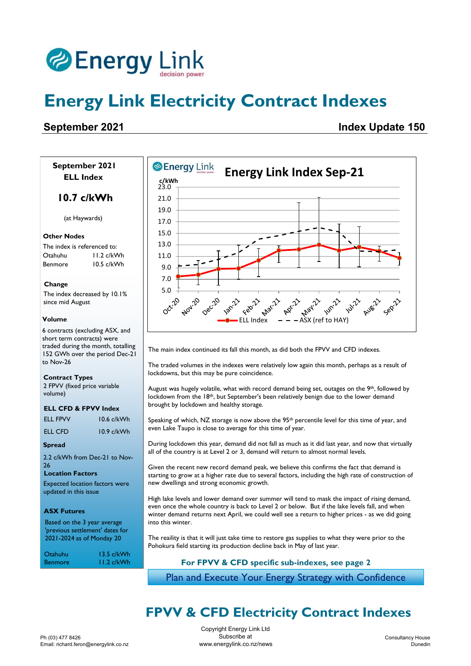

# **Energy Link Electricity Contract Indexes**

### **September 2021 Index Update 150**

 **September 2021 ELL Index**

#### **10.7 c/kWh**

(at Haywards)

#### **Other Nodes**

The index is referenced to: Otahuhu 11.2 c/kWh Benmore 10.5 c/kWh

#### **Change**

The index decreased by 10.1% since mid August

#### **Volume**

6 contracts (excluding ASX, and short term contracts) were traded during the month, totalling 152 GWh over the period Dec-21 to Nov-26

#### **Contract Types**

2 FPVV (fixed price variable volume)

#### **ELL CFD & FPVV Index**

| ELL FPVV | $10.6$ c/kWh |
|----------|--------------|
| ELL CFD  | $10.9$ c/kWh |

#### **Spread**

2.2 c/kWh from Dec-21 to Nov-26

#### **Location Factors**

Expected location factors were updated in this issue

#### **ASX Futures**

Based on the 3 year average 'previous settlement' dates for 2021-2024 as of Monday 20

| Otahuhu        | $13.5$ c/kWh |
|----------------|--------------|
| <b>Benmore</b> | $11.2$ c/kWh |



The main index continued its fall this month, as did both the FPVV and CFD indexes.

The traded volumes in the indexes were relatively low again this month, perhaps as a result of lockdowns, but this may be pure coincidence.

August was hugely volatile, what with record demand being set, outages on the  $9<sup>th</sup>$ , followed by lockdown from the 18<sup>th</sup>, but September's been relatively benign due to the lower demand brought by lockdown and healthy storage.

Speaking of which, NZ storage is now above the 95<sup>th</sup> percentile level for this time of year, and even Lake Taupo is close to average for this time of year.

During lockdown this year, demand did not fall as much as it did last year, and now that virtually all of the country is at Level 2 or 3, demand will return to almost normal levels.

Given the recent new record demand peak, we believe this confirms the fact that demand is starting to grow at a higher rate due to several factors, including the high rate of construction of new dwellings and strong economic growth.

High lake levels and lower demand over summer will tend to mask the impact of rising demand, even once the whole country is back to Level 2 or below. But if the lake levels fall, and when winter demand returns next April, we could well see a return to higher prices - as we did going into this winter.

The reaility is that it will just take time to restore gas supplies to what they were prior to the Pohokura field starting its production decline back in May of last year.

#### **For FPVV & CFD specific sub-indexes, see page 2**

Plan and Execute Your Energy Strategy with Confidence

### **FPVV & CFD Electricity Contract Indexes**

Copyright Energy Link Ltd Subscribe at www.energylink.co.nz/news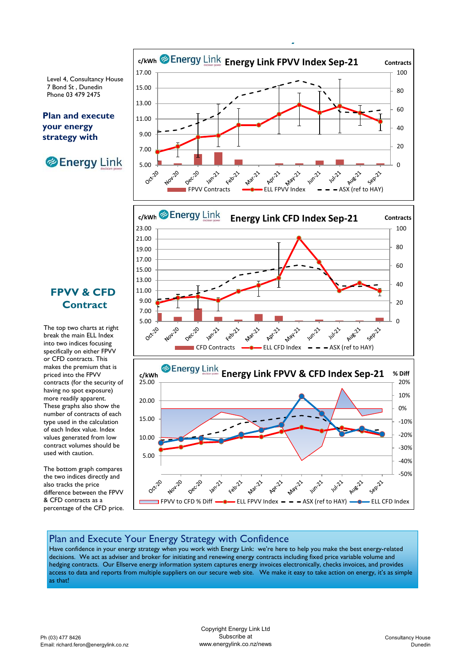Level 4, Consultancy House 7 Bond St , Dunedin Phone 03 479 2475

#### **Plan and execute your energy strategy with**





The top two charts at right break the main ELL Index into two indices focusing specifically on either FPVV or CFD contracts. This makes the premium that is priced into the FPVV contracts (for the security of having no spot exposure) more readily apparent. These graphs also show the number of contracts of each type used in the calculation of each Index value. Index values generated from low contract volumes should be used with caution.

The bottom graph compares the two indices directly and also tracks the price difference between the FPVV & CFD contracts as a percentage of the CFD price.



**FPVV & CFD Electricity Contract Indexes**



FPVV to CFD % Diff  $\longrightarrow$  ELL FPVV Index  $\rightarrow$   $\rightarrow$  ASX (ref to HAY)  $\longrightarrow$  ELL CFD Index

**May 212** 

Aprill

**WILLIAN** 

Aug221

Seprit

#### Plan and Execute Your Energy Strategy with Confidence

Dec20

Jan-21

**0ct**20

Have confidence in your energy strategy when you work with Energy Link: we're here to help you make the best energy-related decisions. We act as adviser and broker for initiating and renewing energy contracts including fixed price variable volume and hedging contracts. Our Ellserve energy information system captures energy invoices electronically, checks invoices, and provides access to data and reports from multiple suppliers on our secure web site. We make it easy to take action on energy, it's as simple as that!

Februh

Mar-21

**Volume and Price History** Copyright Energy Link Ltd Subscribe at www.energylink.co.nz/news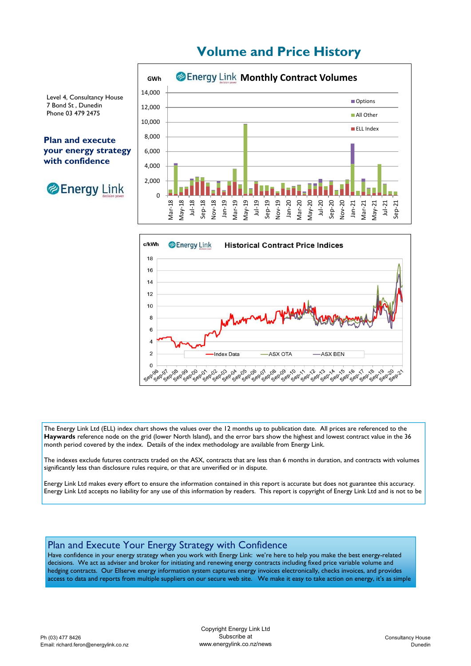## **Volume and Price History**



Level 4, Consultancy House 7 Bond St , Dunedin Phone 03 479 2475

**Plan and execute your energy strategy with confidence**





The Energy Link Ltd (ELL) index chart shows the values over the 12 months up to publication date. All prices are referenced to the **Haywards** reference node on the grid (lower North Island), and the error bars show the highest and lowest contract value in the 36 month period covered by the index. Details of the index methodology are available from Energy Link.

The indexes exclude futures contracts traded on the ASX, contracts that are less than 6 months in duration, and contracts with volumes significantly less than disclosure rules require, or that are unverified or in dispute.

Energy Link Ltd makes every effort to ensure the information contained in this report is accurate but does not guarantee this accuracy. Energy Link Ltd accepts no liability for any use of this information by readers. This report is copyright of Energy Link Ltd and is not to be

#### Plan and Execute Your Energy Strategy with Confidence

Have confidence in your energy strategy when you work with Energy Link: we're here to help you make the best energy-related decisions. We act as adviser and broker for initiating and renewing energy contracts including fixed price variable volume and hedging contracts. Our Ellserve energy information system captures energy invoices electronically, checks invoices, and provides access to data and reports from multiple suppliers on our secure web site. We make it easy to take action on energy, it's as simple